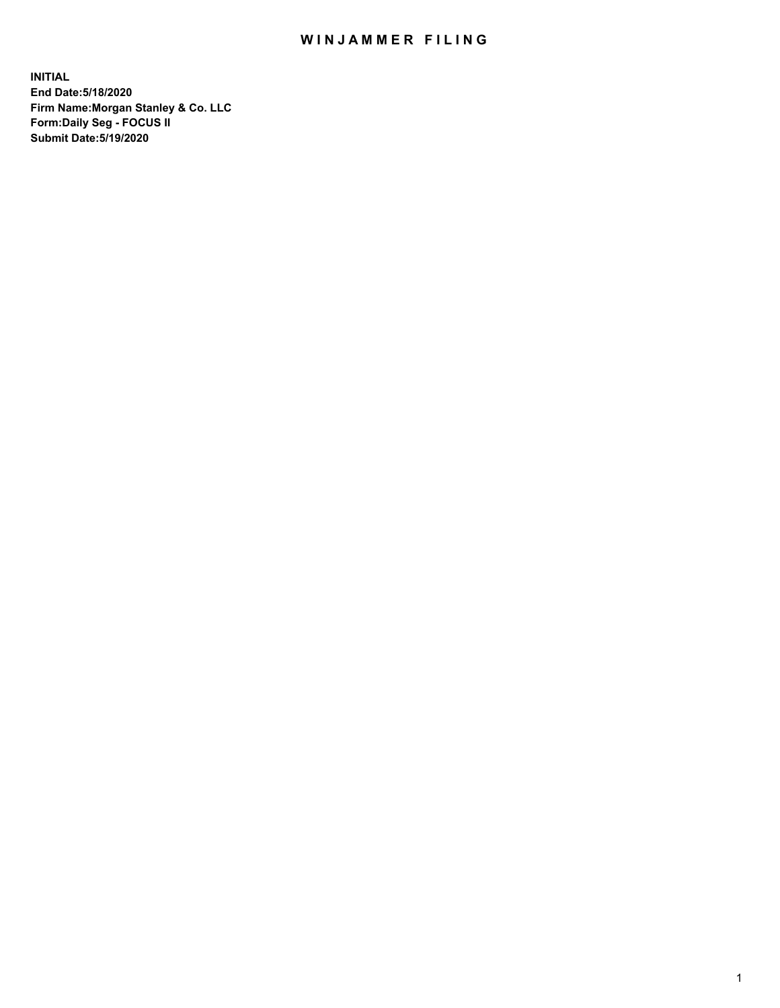## WIN JAMMER FILING

**INITIAL End Date:5/18/2020 Firm Name:Morgan Stanley & Co. LLC Form:Daily Seg - FOCUS II Submit Date:5/19/2020**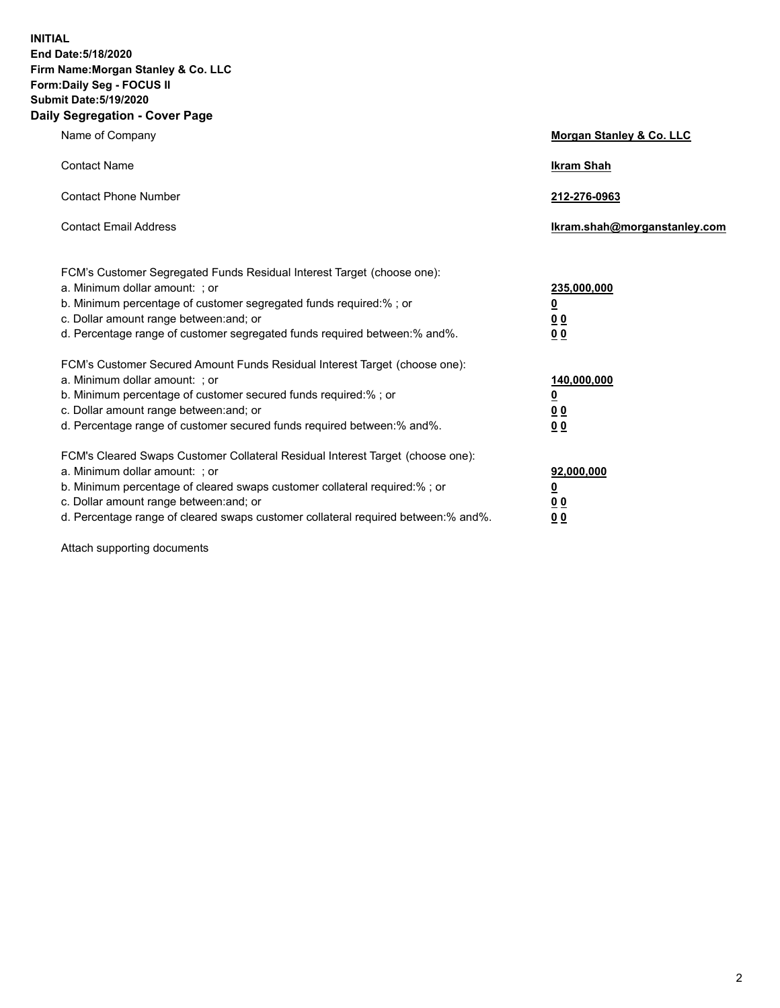**INITIAL End Date:5/18/2020 Firm Name:Morgan Stanley & Co. LLC Form:Daily Seg - FOCUS II Submit Date:5/19/2020 Daily Segregation - Cover Page**

| Name of Company                                                                                                                                                                                                                                                                                                               | Morgan Stanley & Co. LLC                               |
|-------------------------------------------------------------------------------------------------------------------------------------------------------------------------------------------------------------------------------------------------------------------------------------------------------------------------------|--------------------------------------------------------|
| <b>Contact Name</b>                                                                                                                                                                                                                                                                                                           | <b>Ikram Shah</b>                                      |
| <b>Contact Phone Number</b>                                                                                                                                                                                                                                                                                                   | 212-276-0963                                           |
| <b>Contact Email Address</b>                                                                                                                                                                                                                                                                                                  | Ikram.shah@morganstanley.com                           |
| FCM's Customer Segregated Funds Residual Interest Target (choose one):<br>a. Minimum dollar amount: ; or<br>b. Minimum percentage of customer segregated funds required:% ; or<br>c. Dollar amount range between: and; or<br>d. Percentage range of customer segregated funds required between:% and%.                        | 235,000,000<br><u>0</u><br><u>00</u><br>0 <sup>0</sup> |
| FCM's Customer Secured Amount Funds Residual Interest Target (choose one):<br>a. Minimum dollar amount: ; or<br>b. Minimum percentage of customer secured funds required:%; or<br>c. Dollar amount range between: and; or<br>d. Percentage range of customer secured funds required between:% and%.                           | 140,000,000<br><u>0</u><br><u>00</u><br>0 <sub>0</sub> |
| FCM's Cleared Swaps Customer Collateral Residual Interest Target (choose one):<br>a. Minimum dollar amount: ; or<br>b. Minimum percentage of cleared swaps customer collateral required:%; or<br>c. Dollar amount range between: and; or<br>d. Percentage range of cleared swaps customer collateral required between:% and%. | 92,000,000<br><u>0</u><br>0 Q<br>00                    |

Attach supporting documents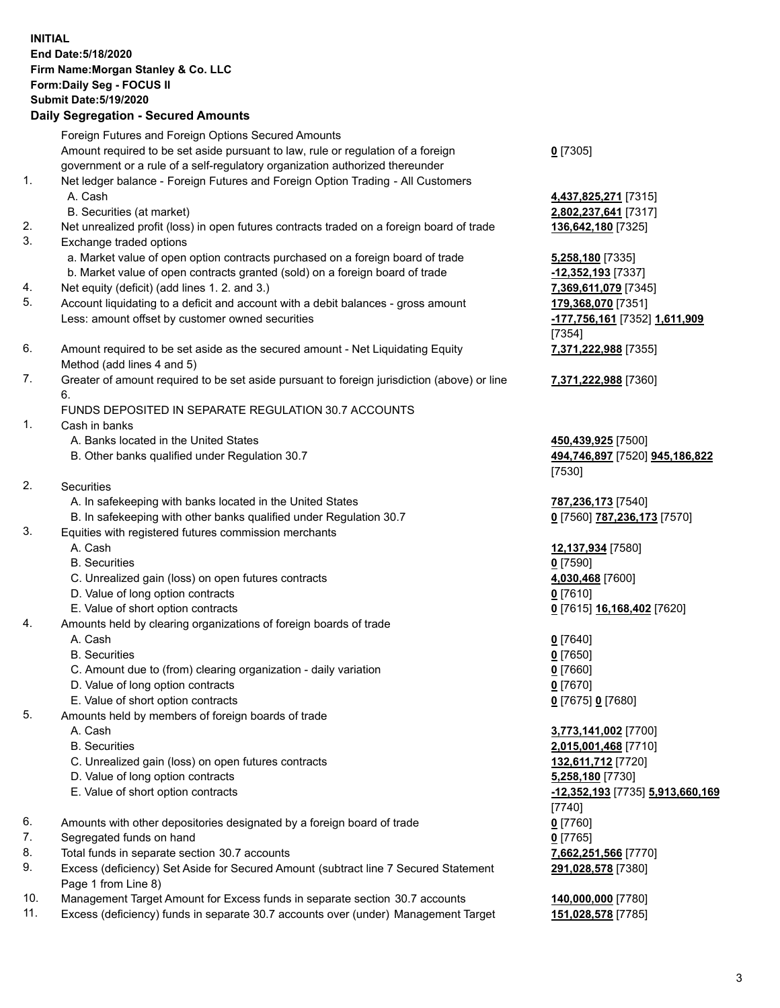## **INITIAL End Date:5/18/2020 Firm Name:Morgan Stanley & Co. LLC Form:Daily Seg - FOCUS II Submit Date:5/19/2020 Daily Segregation - Secured Amounts** Foreign Futures and Foreign Options Secured Amounts Amount required to be set aside pursuant to law, rule or regulation of a foreign government or a rule of a self-regulatory organization authorized thereunder **0** [7305] 1. Net ledger balance - Foreign Futures and Foreign Option Trading - All Customers A. Cash **4,437,825,271** [7315] B. Securities (at market) **2,802,237,641** [7317] 2. Net unrealized profit (loss) in open futures contracts traded on a foreign board of trade **136,642,180** [7325] 3. Exchange traded options a. Market value of open option contracts purchased on a foreign board of trade **5,258,180** [7335] b. Market value of open contracts granted (sold) on a foreign board of trade **-12,352,193** [7337] 4. Net equity (deficit) (add lines 1. 2. and 3.) **7,369,611,079** [7345] 5. Account liquidating to a deficit and account with a debit balances - gross amount **179,368,070** [7351] Less: amount offset by customer owned securities **-177,756,161** [7352] **1,611,909** [7354] 6. Amount required to be set aside as the secured amount - Net Liquidating Equity Method (add lines 4 and 5) **7,371,222,988** [7355] 7. Greater of amount required to be set aside pursuant to foreign jurisdiction (above) or line 6. **7,371,222,988** [7360] FUNDS DEPOSITED IN SEPARATE REGULATION 30.7 ACCOUNTS 1. Cash in banks A. Banks located in the United States **450,439,925** [7500] B. Other banks qualified under Regulation 30.7 **494,746,897** [7520] **945,186,822** [7530] 2. Securities A. In safekeeping with banks located in the United States **787,236,173** [7540] B. In safekeeping with other banks qualified under Regulation 30.7 **0** [7560] **787,236,173** [7570] 3. Equities with registered futures commission merchants A. Cash **12,137,934** [7580] B. Securities **0** [7590] C. Unrealized gain (loss) on open futures contracts **4,030,468** [7600] D. Value of long option contracts **0** [7610] E. Value of short option contracts **0** [7615] **16,168,402** [7620] 4. Amounts held by clearing organizations of foreign boards of trade A. Cash **0** [7640] B. Securities **0** [7650] C. Amount due to (from) clearing organization - daily variation **0** [7660] D. Value of long option contracts **0** [7670] E. Value of short option contracts **0** [7675] **0** [7680] 5. Amounts held by members of foreign boards of trade A. Cash **3,773,141,002** [7700] B. Securities **2,015,001,468** [7710] C. Unrealized gain (loss) on open futures contracts **132,611,712** [7720] D. Value of long option contracts **5,258,180** [7730] E. Value of short option contracts **-12,352,193** [7735] **5,913,660,169** [7740] 6. Amounts with other depositories designated by a foreign board of trade **0** [7760] 7. Segregated funds on hand **0** [7765] 8. Total funds in separate section 30.7 accounts **7,662,251,566** [7770] 9. Excess (deficiency) Set Aside for Secured Amount (subtract line 7 Secured Statement Page 1 from Line 8) **291,028,578** [7380]

- 10. Management Target Amount for Excess funds in separate section 30.7 accounts **140,000,000** [7780]
- 11. Excess (deficiency) funds in separate 30.7 accounts over (under) Management Target **151,028,578** [7785]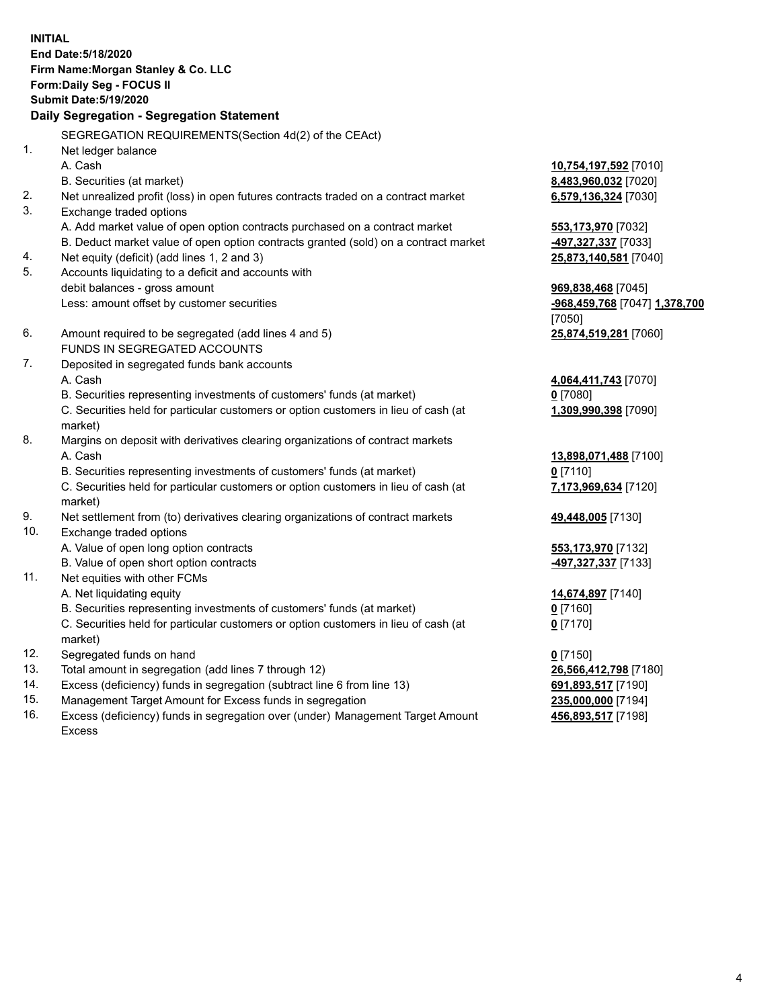**INITIAL End Date:5/18/2020 Firm Name:Morgan Stanley & Co. LLC Form:Daily Seg - FOCUS II Submit Date:5/19/2020 Daily Segregation - Segregation Statement** SEGREGATION REQUIREMENTS(Section 4d(2) of the CEAct) 1. Net ledger balance A. Cash **10,754,197,592** [7010] B. Securities (at market) **8,483,960,032** [7020] 2. Net unrealized profit (loss) in open futures contracts traded on a contract market **6,579,136,324** [7030] 3. Exchange traded options A. Add market value of open option contracts purchased on a contract market **553,173,970** [7032] B. Deduct market value of open option contracts granted (sold) on a contract market **-497,327,337** [7033] 4. Net equity (deficit) (add lines 1, 2 and 3) **25,873,140,581** [7040] 5. Accounts liquidating to a deficit and accounts with debit balances - gross amount **969,838,468** [7045] Less: amount offset by customer securities **-968,459,768** [7047] **1,378,700** [7050] 6. Amount required to be segregated (add lines 4 and 5) **25,874,519,281** [7060] FUNDS IN SEGREGATED ACCOUNTS 7. Deposited in segregated funds bank accounts A. Cash **4,064,411,743** [7070] B. Securities representing investments of customers' funds (at market) **0** [7080] C. Securities held for particular customers or option customers in lieu of cash (at market) **1,309,990,398** [7090] 8. Margins on deposit with derivatives clearing organizations of contract markets A. Cash **13,898,071,488** [7100] B. Securities representing investments of customers' funds (at market) **0** [7110] C. Securities held for particular customers or option customers in lieu of cash (at market) **7,173,969,634** [7120] 9. Net settlement from (to) derivatives clearing organizations of contract markets **49,448,005** [7130] 10. Exchange traded options A. Value of open long option contracts **553,173,970** [7132] B. Value of open short option contracts **-497,327,337** [7133] 11. Net equities with other FCMs A. Net liquidating equity **14,674,897** [7140] B. Securities representing investments of customers' funds (at market) **0** [7160] C. Securities held for particular customers or option customers in lieu of cash (at market) **0** [7170] 12. Segregated funds on hand **0** [7150] 13. Total amount in segregation (add lines 7 through 12) **26,566,412,798** [7180] 14. Excess (deficiency) funds in segregation (subtract line 6 from line 13) **691,893,517** [7190] 15. Management Target Amount for Excess funds in segregation **235,000,000** [7194]

- 16. Excess (deficiency) funds in segregation over (under) Management Target Amount
	- Excess

**456,893,517** [7198]